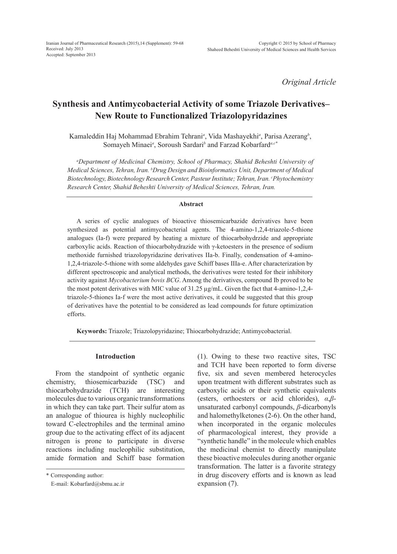*Original Article*

# **Synthesis and Antimycobacterial Activity of some Triazole Derivatives– New Route to Functionalized Triazolopyridazines**

Kamaleddin Haj Mohammad Ebrahim Tehrani*<sup>a</sup>* , Vida Mashayekhi*<sup>a</sup>* , Parisa Azerang*<sup>b</sup>* , Somayeh Minaei*<sup>a</sup>* , Soroush Sardari*<sup>b</sup>* and Farzad Kobarfard*a,c\**

*a Department of Medicinal Chemistry, School of Pharmacy, Shahid Beheshti University of Medical Sciences, Tehran, Iran. b Drug Design and Bioinformatics Unit, Department of Medical Biotechnology, Biotechnology Research Center, Pasteur Institute; Tehran, Iran. c Phytochemistry Research Center, Shahid Beheshti University of Medical Sciences, Tehran, Iran.*

#### **Abstract**

A series of cyclic analogues of bioactive thiosemicarbazide derivatives have been synthesized as potential antimycobacterial agents. The 4-amino-1,2,4-triazole-5-thione analogues (Ia-f) were prepared by heating a mixture of thiocarbohydrzide and appropriate carboxylic acids. Reaction of thiocarbohydrazide with γ-ketoesters in the presence of sodium methoxide furnished triazolopyridazine derivatives IIa-b. Finally, condensation of 4-amino-1,2,4-triazole-5-thione with some aldehydes gave Schiff bases IIIa-e. After characterization by different spectroscopic and analytical methods, the derivatives were tested for their inhibitory activity against *Mycobacterium bovis BCG*. Among the derivatives, compound Ib proved to be the most potent derivatives with MIC value of 31.25 µg/mL. Given the fact that 4-amino-1,2,4 triazole-5-thiones Ia-f were the most active derivatives, it could be suggested that this group of derivatives have the potential to be considered as lead compounds for future optimization efforts.

**Keywords:** Triazole; Triazolopyridazine; Thiocarbohydrazide; Antimycobacterial.

#### **Introduction**

From the standpoint of synthetic organic chemistry, thiosemicarbazide (TSC) and thiocarbohydrazide (TCH) are interesting molecules due to various organic transformations in which they can take part. Their sulfur atom as an analogue of thiourea is highly nucleophilic toward C-electrophiles and the terminal amino group due to the activating effect of its adjacent nitrogen is prone to participate in diverse reactions including nucleophilic substitution, amide formation and Schiff base formation

\* Corresponding author:

(1). Owing to these two reactive sites, TSC and TCH have been reported to form diverse five, six and seven membered heterocycles upon treatment with different substrates such as carboxylic acids or their synthetic equivalents (esters, orthoesters or acid chlorides), *α*,*β*unsaturated carbonyl compounds, *β*-dicarbonyls and halomethylketones (2-6). On the other hand, when incorporated in the organic molecules of pharmacological interest, they provide a "synthetic handle" in the molecule which enables the medicinal chemist to directly manipulate these bioactive molecules during another organic transformation. The latter is a favorite strategy in drug discovery efforts and is known as lead expansion (7).

E-mail: Kobarfard@sbmu.ac.ir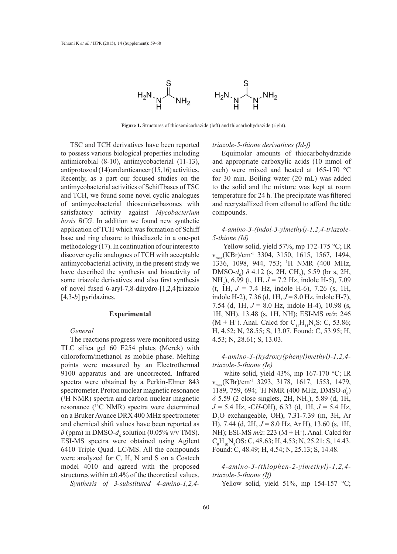

**Figure 1.** Structures of thiosemicarbazide (left) and thiocarbohydrazide (right).

TSC and TCH derivatives have been reported to possess various biological properties including antimicrobial (8-10), antimycobacterial (11-13), antiprotozoal (14) and anticancer (15,16) activities. Recently, as a part our focused studies on the antimycobacterial activities of Schiff bases of TSC and TCH, we found some novel cyclic analogues of antimycobacterial thiosemicarbazones with satisfactory activity against *Mycobacterium bovis BCG*. In addition we found new synthetic application of TCH which was formation of Schiff base and ring closure to thiadiazole in a one-pot methodology (17). In continuation of our interest to discover cyclic analogues of TCH with acceptable antimycobacterial activity, in the present study we have described the synthesis and bioactivity of some triazole derivatives and also first synthesis of novel fused 6-aryl-7,8-dihydro-[1,2,4]triazolo [4,3-*b*] pyridazines.

## **Experimental**

#### *General*

The reactions progress were monitored using TLC silica gel 60 F254 plates (Merck) with chloroform/methanol as mobile phase. Melting points were measured by an Electrothermal 9100 apparatus and are uncorrected. Infrared spectra were obtained by a Perkin-Elmer 843 spectrometer. Proton nuclear magnetic resonance (1 H NMR) spectra and carbon nuclear magnetic resonance (13C NMR) spectra were determined on a Bruker Avance DRX 400 MHz spectrometer and chemical shift values have been reported as  $\delta$  (ppm) in DMSO- $d_6$  solution (0.05% v/v TMS). ESI-MS spectra were obtained using Agilent 6410 Triple Quad. LC/MS. All the compounds were analyzed for C, H, N and S on a Costech model 4010 and agreed with the proposed structures within  $\pm 0.4\%$  of the theoretical values. *Synthesis of 3-substituted 4-amino-1,2,4-*

#### *triazole-5-thione derivatives (Id-f)*

Equimolar amounts of thiocarbohydrazide and appropriate carboxylic acids (10 mmol of each) were mixed and heated at 165-170 °C for 30 min. Boiling water (20 mL) was added to the solid and the mixture was kept at room temperature for 24 h. The precipitate was filtered and recrystallized from ethanol to afford the title compounds.

# *4-amino-3-(indol-3-ylmethyl)-1,2,4-triazole-5-thione (Id)*

Yellow solid, yield 57%, mp 172-175 °C; IR  $v_{\text{max}}$ (KBr)/cm<sup>-1</sup> 3304, 3150, 1615, 1567, 1494, 1336, 1098, 944, 753; 1 H NMR (400 MHz,  $DMSO-d_6$ )  $\delta$  4.12 (s, 2H, CH<sub>2</sub>), 5.59 (br s, 2H, NH<sub>2</sub>), 6.99 (t, 1H, *J* = 7.2 Hz, indole H-5), 7.09 (t, 1H, *J* = 7.4 Hz, indole H-6), 7.26 (s, 1H, indole H-2), 7.36 (d, 1H, *J* = 8.0 Hz, indole H-7), 7.54 (d, 1H, *J* = 8.0 Hz, indole H-4), 10.98 (s, 1H, NH), 13.48 (s, 1H, NH); ESI-MS *m/z*: 246  $(M + H<sup>+</sup>)$ . Anal. Calcd for C<sub>11</sub>H<sub>11</sub>N<sub>5</sub>S: C, 53.86; H, 4.52; N, 28.55; S, 13.07. Found: C, 53.95; H, 4.53; N, 28.61; S, 13.03.

# *4-amino-3-(hydroxy(phenyl)methyl)-1,2,4 triazole-5-thione (Ie)*

 white solid, yield 43%, mp 167-170 °C; IR νmax(KBr)/cm-1 3293, 3178, 1617, 1553, 1479, 1189, 759, 694; <sup>1</sup>H NMR (400 MHz, DMSO- $d_6$ )  $\delta$  5.59 (2 close singlets, 2H, NH<sub>2</sub>), 5.89 (d, 1H, *J* = 5.4 Hz, -C*H*-OH), 6.33 (d, 1H, *J* = 5.4 Hz, D2 O exchangeable, OH), 7.31-7.39 (m, 3H, Ar H), 7.44 (d, 2H, *J* = 8.0 Hz, Ar H), 13.60 (s, 1H, NH); ESI-MS  $m/z$ : 223 (M + H<sup>+</sup>). Anal. Calcd for  $C_9H_{10}N_4OS$ : C, 48.63; H, 4.53; N, 25.21; S, 14.43. Found: C, 48.49; H, 4.54; N, 25.13; S, 14.48.

*4-amino-3-(thiophen-2-ylmethyl)-1,2,4 triazole-5-thione (If)*

Yellow solid, yield  $51\%$ , mp  $154-157$  °C;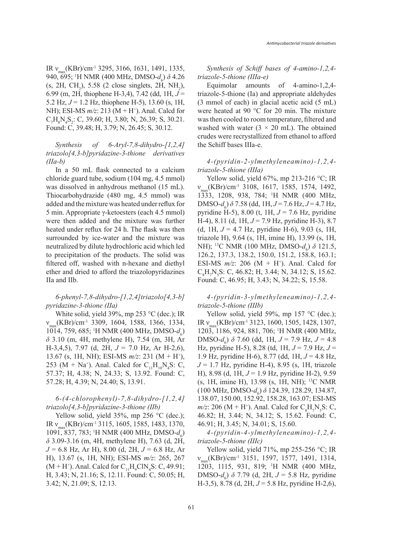IR  $v_{\text{max}}$ (KBr)/cm<sup>-1</sup> 3295, 3166, 1631, 1491, 1335, 940, 695; <sup>1</sup>H NMR (400 MHz, DMSO- $d_6$ ) δ 4.26  $(s, 2H, CH_2), 5.58$  (2 close singlets, 2H, NH<sub>2</sub>), 6.99 (m, 2H, thiophene H-3,4), 7.42 (dd, 1H, *J* = 5.2 Hz, *J* = 1.2 Hz, thiophene H-5), 13.60 (s, 1H, NH); ESI-MS *m/z*: 213 (M + H<sup>+</sup>). Anal. Calcd for  $C_7H_8N_4S_2$ : C, 39.60; H, 3.80; N, 26.39; S, 30.21. Found: C, 39.48; H, 3.79; N, 26.45; S, 30.12.

# *Synthesis of 6-Aryl-7,8-dihydro-[1,2,4] triazolo[4,3-b]pyridazine-3-thione derivatives (IIa-b)*

In a 50 mL flask connected to a calcium chloride guard tube, sodium (104 mg, 4.5 mmol) was dissolved in anhydrous methanol (15 mL). Thiocarbohydrazide (480 mg, 4.5 mmol) was added and the mixture was heated under reflux for 5 min. Appropriate γ-ketoesters (each 4.5 mmol) were then added and the mixture was further heated under reflux for 24 h. The flask was then surrounded by ice-water and the mixture was neutralized by dilute hydrochloric acid which led to precipitation of the products. The solid was filtered off, washed with n-hexane and diethyl ether and dried to afford the triazolopyridazines IIa and IIb.

# *6-phenyl-7,8-dihydro-[1,2,4]triazolo[4,3-b] pyridazine-3-thione (IIa)*

White solid, yield 39%, mp 253 °C (dec.); IR  $v_{\text{max}}$ (KBr)/cm<sup>-1</sup> 3309, 1604, 1588, 1366, 1334, 1014, 759, 685; <sup>1</sup>H NMR (400 MHz, DMSO- $d_6$ ) *δ* 3.10 (m, 4H, methylene H), 7.54 (m, 3H, Ar H-3,4,5), 7.97 (d, 2H, *J* = 7.0 Hz, Ar H-2,6), 13.67 (s, 1H, NH); ESI-MS *m/z*: 231 (M + H+ ), 253 (M + Na<sup>+</sup>). Anal. Calcd for  $C_{11}H_{10}N_4S$ : C, 57.37; H, 4.38; N, 24.33; S, 13.92. Found: C, 57.28; H, 4.39; N, 24.40; S, 13.91.

# *6-(4-chlorophenyl)-7,8-dihydro-[1,2,4] triazolo[4,3-b]pyridazine-3-thione (IIb)*

Yellow solid, yield 35%, mp 256 °C (dec.); IR νmax(KBr)/cm-1 3115, 1605, 1585, 1483, 1370, 1091, 837, 783; <sup>1</sup>H NMR (400 MHz, DMSO- $d_6$ ) *δ* 3.09-3.16 (m, 4H, methylene H), 7.63 (d, 2H, *J* = 6.8 Hz, Ar H), 8.00 (d, 2H, *J* = 6.8 Hz, Ar H), 13.67 (s, 1H, NH); ESI-MS *m/z*: 265, 267  $(M + H<sup>+</sup>)$ . Anal. Calcd for  $C_{11}H_{9}CIN_{4}S$ : C, 49.91; H, 3.43; N, 21.16; S, 12.11. Found: C, 50.05; H, 3.42; N, 21.09; S, 12.13.

*Synthesis of Schiff bases of 4-amino-1,2,4 triazole-5-thione (IIIa-e)* 

Equimolar amounts of 4-amino-1,2,4 triazole-5-thione (Ia) and appropriate aldehydes (3 mmol of each) in glacial acetic acid (5 mL) were heated at 90 °C for 20 min. The mixture was then cooled to room temperature, filtered and washed with water  $(3 \times 20 \text{ mL})$ . The obtained crudes were recrystallized from ethanol to afford the Schiff bases IIIa-e.

## *4-(pyridin-2-ylmethyleneamino)-1,2,4 triazole-5-thione (IIIa)*

Yellow solid, yield 67%, mp 213-216 °C; IR  $v_{\text{max}}$ (KBr)/cm<sup>-1</sup> 3108, 1617, 1585, 1574, 1492, 1333, 1208, 938, 784; 1 H NMR (400 MHz,  $DMSO-d_6$ )  $\delta$  7.58 (dd, 1H,  $J=7.6$  Hz,  $J=4.7$  Hz, pyridine H-5), 8.00 (t, 1H, *J* = 7.6 Hz, pyridine H-4), 8.11 (d, 1H, *J* = 7.9 Hz, pyridine H-3), 8.7 (d, 1H, *J* = 4.7 Hz, pyridine H-6), 9.03 (s, 1H, triazole H), 9.64 (s, 1H, imine H), 13.99 (s, 1H, NH); <sup>13</sup>C NMR (100 MHz, DMSO- $d_6$ ) δ 121.5, 126.2, 137.3, 138.2, 150.0, 151.2, 158.8, 163.1; ESI-MS  $m/z$ : 206 (M + H<sup>+</sup>). Anal. Calcd for  $C_8H_7N_5S$ : C, 46.82; H, 3.44; N, 34.12; S, 15.62. Found: C, 46.95; H, 3.43; N, 34.22; S, 15.58.

## *4-(pyridin-3-ylmethyleneamino)-1,2,4 triazole-5-thione (IIIb)*

Yellow solid, yield 59%, mp 157 °C (dec.); IR  $v_{\text{max}}$ (KBr)/cm<sup>-1</sup> 3123, 1600, 1505, 1428, 1307, 1203, 1186, 924, 881, 706; 1 H NMR (400 MHz,  $DMSO-d_6$ )  $\delta$  7.60 (dd, 1H,  $J = 7.9$  Hz,  $J = 4.8$ Hz, pyridine H-5), 8.28 (td, 1H, *J* = 7.9 Hz, *J* = 1.9 Hz, pyridine H-6), 8.77 (dd, 1H, *J* = 4.8 Hz, *J* = 1.7 Hz, pyridine H-4), 8.95 (s, 1H, triazole H), 8.98 (d, 1H, *J* = 1.9 Hz, pyridine H-2), 9.59 (s, 1H, imine H), 13.98 (s, 1H, NH); 13C NMR (100 MHz, DMSO-*d<sub>6</sub>*) *δ* 124.39, 128.29, 134.87, 138.07, 150.00, 152.92, 158.28, 163.07; ESI-MS  $m/z$ : 206 (M + H<sup>+</sup>). Anal. Calcd for C<sub>8</sub>H<sub>7</sub>N<sub>5</sub>S: C, 46.82; H, 3.44; N, 34.12; S, 15.62. Found: C, 46.91; H, 3.45; N, 34.01; S, 15.60.

*4-(pyridin-4-ylmethyleneamino)-1,2,4 triazole-5-thione (IIIc)*

Yellow solid, yield 71%, mp 255-256  $\degree$ C; IR  $v_{\text{max}}$ (KBr)/cm<sup>-1</sup> 3151, 1597, 1577, 1491, 1314, 1203, 1115, 931, 819; 1 H NMR (400 MHz, DMSO-*d*<sub>6</sub>) *δ* 7.79 (d, 2H, *J* = 5.8 Hz, pyridine H-3,5), 8.78 (d, 2H, *J* = 5.8 Hz, pyridine H-2,6),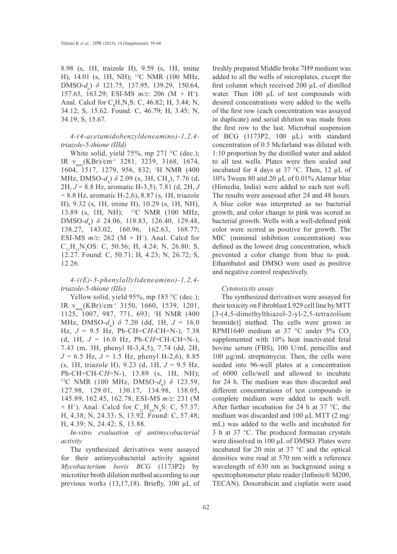8.98 (s, 1H, traizole H), 9.59 (s, 1H, imine H), 14.01 (s, 1H, NH); 13C NMR (100 MHz, DMSO-*d*<sub>6</sub>) δ 121.75, 137.95, 139.29, 150.64, 157.65, 163.29; ESI-MS *m/z*: 206 (M + H+ ). Anal. Calcd for  $C_8H_7N_5S$ : C, 46.82; H, 3.44; N, 34.12; S, 15.62. Found: C, 46.79; H, 3.45; N, 34.19; S, 15.67.

## *4-(4-acetamidobenzyldeneamino)-1,2,4 triazole-5-thione (IIId)*

White solid, yield 75%, mp 271 °C (dec.); IR  $v_{\text{max}}$ (KBr)/cm<sup>-1</sup> 3281, 3239, 3168, 1674, 1604, 1517, 1279, 956, 832; 1 H NMR (400 MHz, DMSO-*d*<sub>6</sub>) *δ* 2.09 (s, 3H, CH<sub>3</sub>), 7.76 (d, 2H, *J* = 8.8 Hz, aromatic H-3,5), 7.81 (d, 2H, *J* = 8.8 Hz, aromatic H-2,6), 8.87 (s, 1H, triazole H), 9.32 (s, 1H, imine H), 10.29 (s, 1H, NH), 13.89 (s, 1H, NH); 13C NMR (100 MHz, DMSO-*d<sub>6</sub>*) *δ* 24.06, 118.83, 126.40, 129.48, 138.27, 143.02, 160.96, 162.63, 168.77; ESI-MS  $m/z$ : 262 (M + H<sup>+</sup>). Anal. Calcd for  $C_{11}H_{11}N_5OS$ : C, 50.56; H, 4.24; N, 26.80; S, 12.27. Found: C, 50.71; H, 4.23; N, 26.72; S, 12.26.

# *4-((E)-3-phenylallylideneamino)-1,2,4 triazole-5-thione (IIIe)*

Yellow solid, yield 95%, mp 185 °C (dec.); IR  $v_{\text{max}}(KBr)/cm^{-1}$  3150, 1660, 1539, 1201, 1125, 1007, 987, 771, 693; 1 H NMR (400 MHz, DMSO- $d_6$ ) δ 7.20 (dd, 1H,  $J = 16.0$ Hz, *J* = 9.5 Hz, Ph-CH=C*H*-CH=N-), 7.38 (d, 1H, *J* = 16.0 Hz, Ph-C*H*=CH-CH=N-), 7.43 (m, 3H, phenyl H-3,4,5), 7.74 (dd, 2H, *J* = 6.5 Hz, *J* = 1.5 Hz, phenyl H-2,6), 8.85 (s, 1H, triazole H), 9.23 (d, 1H, *J* = 9.5 Hz, Ph-CH=CH-C*H*=N-), 13.89 (s, 1H, NH);<br><sup>13</sup>C NMR (100 MHz, DMSO-*d<sub>6</sub>*) δ 123.59, 127.98, 129.01, 130.17, 134.98, 138.05, 145.89, 162.45, 162.78; ESI-MS *m/z*: 231 (M + H<sup>+</sup>). Anal. Calcd for  $C_{11}H_{10}N_4S$ : C, 57.37; H, 4.38; N, 24.33; S, 13.92. Found: C, 57.48; H, 4.39; N, 24.42; S, 13.88.

*In-vitro evaluation of antimycobacterial activity* 

The synthesized derivatives were assayed for their antimycobacterial activity against *Mycobacterium bovis BCG* (1173P2) by microtiter broth dilution method according to our previous works (13,17,18). Briefly, 100 µL of freshly prepared Middle broke 7H9 medium was added to all the wells of microplates, except the first column which received 200 µL of distilled water. Then 100  $\mu$ L of test compounds with desired concentrations were added to the wells of the first row (each concentration was assayed in duplicate) and serial dilution was made from the first row to the last. Microbial suspension of BCG (1173P2, 100 µL) with standard concentration of 0.5 Mcfarland was diluted with 1:10 proportion by the distilled water and added to all test wells. Plates were then sealed and incubated for 4 days at 37 °C. Then, 12 µL of 10% Tween 80 and 20 µL of 0.01% Alamar blue (Himedia, India) were added to each test well. The results were assessed after 24 and 48 hours. A blue color was interpreted as no bacterial growth, and color change to pink was scored as bacterial growth. Wells with a well-defined pink color were scored as positive for growth. The MIC (minimal inhibition concentration) was defined as the lowest drug concentration, which prevented a color change from blue to pink. Ethambutol and DMSO were used as positive and negative control respectively.

## *Cytotoxicity assay*

The synthesized derivatives were assayed for their toxicity on Fibroblast L929 cell line by MTT [3-(4,5-dimethylthiazol-2-yl-2,5-tetrazolium bromide)] method. The cells were grown in RPMI1640 medium at 37 °C under 5% CO<sub>2</sub> supplemented with 10% heat inactivated fetal bovine serum (FBS), 100 U/mL penicillin and 100 µg/mL streptomycin. Then, the cells were seeded into 96-well plates at a concentration of 6000 cells/well and allowed to incubate for 24 h. The medium was then discarded and different concentrations of test compounds in complete medium were added to each well. After further incubation for 24 h at 37  $\degree$ C, the medium was discarded and 100 µL MTT (2 mg/ mL) was added to the wells and incubated for 3 h at 37 °C. The produced formazan crystals were dissolved in 100 µL of DMSO. Plates were incubated for 20 min at 37 °C and the optical densities were read at 570 nm with a reference wavelength of 630 nm as background using a spectrophotometer plate reader (Infinite® M200, TECAN). Doxorubicin and cisplatin were used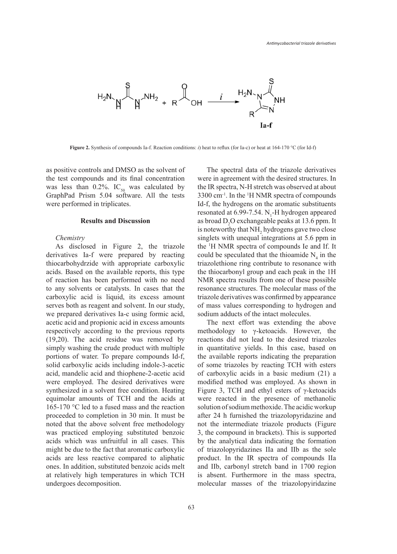

**Figure 2.** Synthesis of compounds Ia-f. Reaction conditions: *i*) heat to reflux (for Ia-c) or heat at 164-170 °C (for Id-f)

as positive controls and DMSO as the solvent of the test compounds and its final concentration was less than 0.2%.  $IC_{50}$  was calculated by GraphPad Prism 5.04 software. All the tests were performed in triplicates.

#### **Results and Discussion**

## *Chemistry*

As disclosed in Figure 2, the triazole derivatives Ia-f were prepared by reacting thiocarbohydrzide with appropriate carboxylic acids. Based on the available reports, this type of reaction has been performed with no need to any solvents or catalysts. In cases that the carboxylic acid is liquid, its excess amount serves both as reagent and solvent. In our study, we prepared derivatives Ia-c using formic acid, acetic acid and propionic acid in excess amounts respectively according to the previous reports (19,20). The acid residue was removed by simply washing the crude product with multiple portions of water. To prepare compounds Id-f, solid carboxylic acids including indole-3-acetic acid, mandelic acid and thiophene-2-acetic acid were employed. The desired derivatives were synthesized in a solvent free condition. Heating equimolar amounts of TCH and the acids at 165-170 °C led to a fused mass and the reaction proceeded to completion in 30 min. It must be noted that the above solvent free methodology was practiced employing substituted benzoic acids which was unfruitful in all cases. This might be due to the fact that aromatic carboxylic acids are less reactive compared to aliphatic ones. In addition, substituted benzoic acids melt at relatively high temperatures in which TCH undergoes decomposition.

The spectral data of the triazole derivatives were in agreement with the desired structures. In the IR spectra, N-H stretch was observed at about 3300 cm-1. In the 1 H NMR spectra of compounds Id-f, the hydrogens on the aromatic substituents resonated at  $6.99$ -7.54. N<sub>1</sub>-H hydrogen appeared as broad  $D_2O$  exchangeable peaks at 13.6 ppm. It is noteworthy that  $NH_2$  hydrogens gave two close singlets with unequal integrations at 5.6 ppm in the 1 H NMR spectra of compounds Ie and If. It could be speculated that the thioamide  $N_4$  in the triazolethione ring contribute to resonance with the thiocarbonyl group and each peak in the 1H NMR spectra results from one of these possible resonance structures. The molecular mass of the triazole derivatives was confirmed by appearance of mass values corresponding to hydrogen and sodium adducts of the intact molecules.

The next effort was extending the above methodology to γ-ketoacids. However, the reactions did not lead to the desired triazoles in quantitative yields. In this case, based on the available reports indicating the preparation of some triazoles by reacting TCH with esters of carboxylic acids in a basic medium (21) a modified method was employed. As shown in Figure 3, TCH and ethyl esters of γ-ketoacids were reacted in the presence of methanolic solution of sodium methoxide. The acidic workup after 24 h furnished the triazolopyridazine and not the intermediate triazole products (Figure 3, the compound in brackets). This is supported by the analytical data indicating the formation of triazolopyridazines IIa and IIb as the sole product. In the IR spectra of compounds IIa and IIb, carbonyl stretch band in 1700 region is absent. Furthermore in the mass spectra, molecular masses of the triazolopyiridazine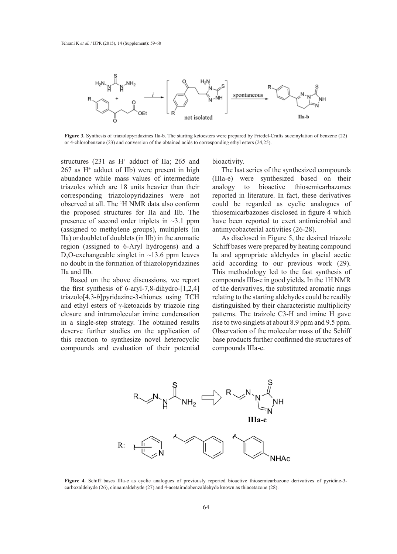

**Figure 3.** Synthesis of triazolopyridazines IIa-b. The starting ketoesters were prepared by Friedel-Crafts succinylation of benzene (22) or 4-chlorobenzene (23) and conversion of the obtained acids to corresponding ethyl esters (24,25).

structures  $(231$  as  $H^+$  adduct of IIa; 265 and  $267$  as  $H^+$  adduct of IIb) were present in high abundance while mass values of intermediate triazoles which are 18 units heavier than their corresponding triazolopyridazines were not observed at all. The 1 H NMR data also conform the proposed structures for IIa and IIb. The presence of second order triplets in ~3.1 ppm (assigned to methylene groups), multiplets (in IIa) or doublet of doublets (in IIb) in the aromatic region (assigned to 6-Aryl hydrogens) and a  $D_2O$ -exchangeable singlet in ~13.6 ppm leaves no doubt in the formation of thiazolopyridazines IIa and IIb.

Based on the above discussions, we report the first synthesis of 6-aryl-7,8-dihydro-[1,2,4] triazolo[4,3-*b*]pyridazine-3-thiones using TCH and ethyl esters of γ-ketoacids by triazole ring closure and intramolecular imine condensation in a single-step strategy. The obtained results deserve further studies on the application of this reaction to synthesize novel heterocyclic compounds and evaluation of their potential

bioactivity.

The last series of the synthesized compounds (IIIa-e) were synthesized based on their analogy to bioactive thiosemicarbazones reported in literature. In fact, these derivatives could be regarded as cyclic analogues of thiosemicarbazones disclosed in figure 4 which have been reported to exert antimicrobial and antimycobacterial activities (26-28).

As disclosed in Figure 5, the desired triazole Schiff bases were prepared by heating compound Ia and appropriate aldehydes in glacial acetic acid according to our previous work (29). This methodology led to the fast synthesis of compounds IIIa-e in good yields. In the 1H NMR of the derivatives, the substituted aromatic rings relating to the starting aldehydes could be readily distinguished by their characteristic multiplicity patterns. The traizole C3-H and imine H gave rise to two singlets at about 8.9 ppm and 9.5 ppm. Observation of the molecular mass of the Schiff base products further confirmed the structures of compounds IIIa-e.



**Figure 4.** Schiff bases IIIa-e as cyclic analogues of previously reported bioactive thiosemicarbazone derivatives of pyridine-3 carboxaldehyde (26), cinnamaldehyde (27) and 4-acetaimdobenzaldehyde known as thiacetazone (28).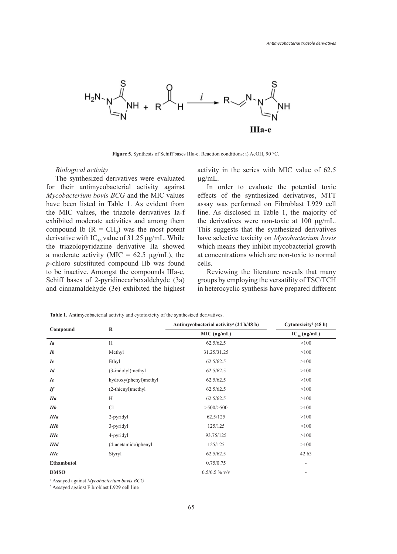

**Figure 5.** Synthesis of Schiff bases IIIa-e. Reaction conditions: i) AcOH, 90 °C.

#### *Biological activity*

The synthesized derivatives were evaluated for their antimycobacterial activity against *Mycobacterium bovis BCG* and the MIC values have been listed in Table 1. As evident from the MIC values, the triazole derivatives Ia-f exhibited moderate activities and among them compound Ib  $(R = CH_3)$  was the most potent derivative with IC<sub>50</sub> value of 31.25  $\mu$ g/mL. While the triazolopyridazine derivative IIa showed a moderate activity (MIC =  $62.5 \mu g/mL$ ), the *p*-chloro substituted compound IIb was found to be inactive. Amongst the compounds IIIa-e, Schiff bases of 2-pyridinecarboxaldehyde (3a) and cinnamaldehyde (3e) exhibited the highest

activity in the series with MIC value of 62.5 µg/mL.

In order to evaluate the potential toxic effects of the synthesized derivatives, MTT assay was performed on Fibroblast L929 cell line. As disclosed in Table 1, the majority of the derivatives were non-toxic at 100 µg/mL. This suggests that the synthesized derivatives have selective toxicity on *Mycobacterium bovis* which means they inhibit mycobacterial growth at concentrations which are non-toxic to normal cells.

Reviewing the literature reveals that many groups by employing the versatility of TSC/TCH in heterocyclic synthesis have prepared different

| Compound    | $\mathbf R$           | Antimycobacterial activity <sup>a</sup> (24 h/48 h) | Cytotoxicity <sup>b</sup> (48 h) |
|-------------|-----------------------|-----------------------------------------------------|----------------------------------|
|             |                       | MIC (µg/mL)                                         | $IC_{50} (\mu g/mL)$             |
| <i>Ia</i>   | H                     | 62.5/62.5                                           | >100                             |
| Ib          | Methyl                | 31.25/31.25                                         | >100                             |
| Ic          | Ethyl                 | 62.5/62.5                                           | >100                             |
| Id          | (3-indolyl)methyl     | 62.5/62.5                                           | >100                             |
| <i>Ie</i>   | hydroxy(phenyl)methyl | 62.5/62.5                                           | >100                             |
| <b>If</b>   | (2-thienyl)methyl     | 62.5/62.5                                           | >100                             |
| I1a         | H                     | 62.5/62.5                                           | >100                             |
| $I\!I\!b$   | Cl                    | >500/>500                                           | >100                             |
| <b>IIIa</b> | 2-pyridyl             | 62.5/125                                            | >100                             |
| IIIb        | 3-pyridyl             | 125/125                                             | >100                             |
| IIIc        | 4-pyridyl             | 93.75/125                                           | >100                             |
| IIId        | (4-acetamido)phenyl   | 125/125                                             | >100                             |
| IIIe        | Styryl                | 62.5/62.5                                           | 42.63                            |
| Ethambutol  |                       | 0.75/0.75                                           | $\overline{\phantom{a}}$         |
| <b>DMSO</b> |                       | $6.5/6.5 \%$ v/v                                    |                                  |

**Table 1.** Antimycobacterial activity and cytotoxicity of the synthesized derivatives.

*a* Assayed against *Mycobacterium bovis BCG*

*b* Assayed against Fibroblast L929 cell line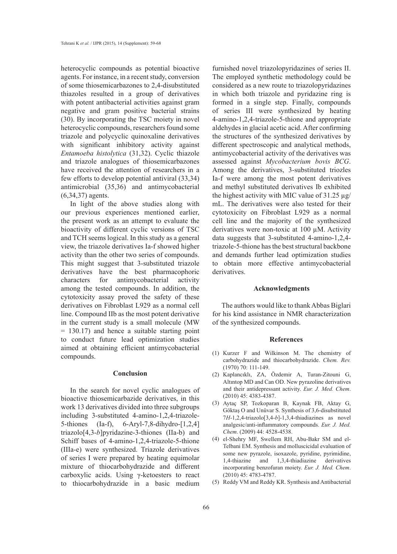heterocyclic compounds as potential bioactive agents. For instance, in a recent study, conversion of some thiosemicarbazones to 2,4-disubstituted thiazoles resulted in a group of derivatives with potent antibacterial activities against gram negative and gram positive bacterial strains (30). By incorporating the TSC moiety in novel heterocyclic compounds, researchers found some triazole and polycyclic quinoxaline derivatives with significant inhibitory activity against *Entamoeba histolytica* (31,32). Cyclic thiazole and triazole analogues of thiosemicarbazones have received the attention of researchers in a few efforts to develop potential antiviral (33,34) antimicrobial (35,36) and antimycobacterial (6,34,37) agents.

In light of the above studies along with our previous experiences mentioned earlier, the present work as an attempt to evaluate the bioactivity of different cyclic versions of TSC and TCH seems logical. In this study as a general view, the triazole derivatives Ia-f showed higher activity than the other two series of compounds. This might suggest that 3-substituted triazole derivatives have the best pharmacophoric characters for antimycobacterial activity among the tested compounds. In addition, the cytotoxicity assay proved the safety of these derivatives on Fibroblast L929 as a normal cell line. Compound IIb as the most potent derivative in the current study is a small molecule (MW = 130.17) and hence a suitable starting point to conduct future lead optimization studies aimed at obtaining efficient antimycobacterial compounds.

## **Conclusion**

In the search for novel cyclic analogues of bioactive thiosemicarbazide derivatives, in this work 13 derivatives divided into three subgroups including 3-substituted 4-amino-1,2,4-triazole-5-thiones (Ia-f), 6-Aryl-7,8-dihydro-[1,2,4] triazolo[4,3-*b*]pyridazine-3-thiones (IIa-b) and Schiff bases of 4-amino-1,2,4-triazole-5-thione (IIIa-e) were synthesized. Triazole derivatives of series I were prepared by heating equimolar mixture of thiocarbohydrazide and different carboxylic acids. Using γ-ketoesters to react to thiocarbohydrazide in a basic medium

furnished novel triazolopyridazines of series II. The employed synthetic methodology could be considered as a new route to triazolopyridazines in which both triazole and pyridazine ring is formed in a single step. Finally, compounds of series III were synthesized by heating 4-amino-1,2,4-triazole-5-thione and appropriate aldehydes in glacial acetic acid. After confirming the structures of the synthesized derivatives by different spectroscopic and analytical methods, antimycobacterial activity of the derivatives was assessed against *Mycobacterium bovis BCG*. Among the derivatives, 3-substituted triozles Ia-f were among the most potent derivatives and methyl substituted derivatives Ib exhibited the highest activity with MIC value of  $31.25 \mu$ g/ mL. The derivatives were also tested for their cytotoxicity on Fibroblast L929 as a normal cell line and the majority of the synthesized derivatives were non-toxic at 100 µM. Activity data suggests that 3-substituted 4-amino-1,2,4 triazole-5-thione has the best structural backbone and demands further lead optimization studies to obtain more effective antimycobacterial derivatives.

#### **Acknowledgments**

The authors would like to thank Abbas Biglari for his kind assistance in NMR characterization of the synthesized compounds.

#### **References**

- $(1)$  Kurzer F and Wilkinson M. The chemistry of carbohydrazide and thiocarbohydrazide. *Chem. Rev.* (1970) 70: 111-149.
- Kaplancıklı, ZA, Özdemir A, Turan-Zitouni G, (2) Altıntop MD and Can OD. New pyrazoline derivatives and their antidepressant activity. *Eur. J. Med. Chem*. (2010) 45: 4383-4387.
- Aytaç SP, Tozkoparan B, Kaynak FB, Aktay G, (3) Göktaş O and Unüvar S. Synthesis of 3,6-disubstituted 7*H*-1,2,4-triazolo[3,4-*b*]-1,3,4-thiadiazines as novel analgesic/anti-inflammatory compounds. *Eur. J. Med. Chem*. (2009) 44: 4528-4538.
- el-Shehry MF, Swellem RH, Abu-Bakr SM and el-(4) Telbani EM. Synthesis and molluscicidal evaluation of some new pyrazole, isoxazole, pyridine, pyrimidine, 1,4-thiazine and 1,3,4-thiadiazine derivatives incorporating benzofuran moiety. *Eur. J. Med. Chem*. (2010) 45: 4783-4787.
- (5) Reddy VM and Reddy KR. Synthesis and Antibacterial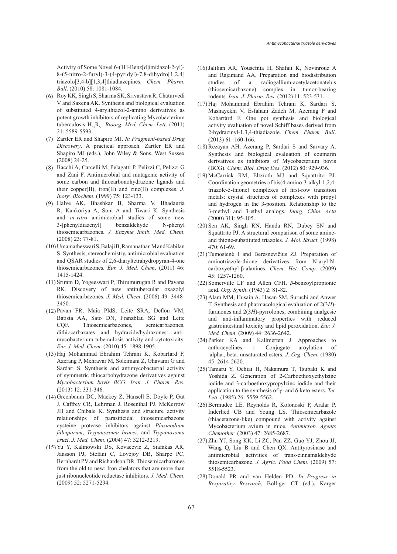Activity of Some Novel 6-(1H-Benz[d]imidazol-2-yl)- 8-(5-nitro-2-furyl)-3-(4-pyridyl)-7,8-dihydro[1,2,4] triazolo[3,4-b][1,3,4]thiadiazepines. *Chem. Pharm. Bull*. (2010) 58: 1081-1084.

- (6) Roy KK, Singh S, Sharma SK, Srivastava R, Chaturvedi V and Saxena AK. Synthesis and biological evaluation of substituted 4-arylthiazol-2-amino derivatives as potent growth inhibitors of replicating Mycobacterium tuberculosis  $H_{37}R_{V}$ . *Bioorg. Med. Chem. Lett.* (2011) 21: 5589-5593.
- (7) Zartler ER and Shapiro MJ. *In Fragment-based Drug Discovery*. A practical approach. Zartler ER and Shapiro MJ (eds.), John Wiley & Sons, West Sussex (2008) 24-25.
- Bacchi A, Carcelli M, Pelagatti P, Pelizzi C, Pelizzi G (8) and Zani F. Antimicrobial and mutagenic activity of some carbon and thiocarbonohydrazone ligands and their copper(II), iron(II) and zinc(II) complexes. *J. Inorg. Biochem*. (1999) 75: 123-133.
- Halve AK, Bhashkar B, Sharma V, Bhadauria (9) R, Kankoriya A, Soni A and Tiwari K. Synthesis and *in-vitro* antimicrobial studies of some new 3-[phenyldiazenyl] benzaldehyde N-phenyl thiosemicarbazones. *J. Enzyme Inhib. Med. Chem*. (2008) 23: 77-81.
- Umamatheswari S, Balaji B, Ramanathan M and Kabilan (10) S. Synthesis, stereochemistry, antimicrobial evaluation and QSAR studies of 2,6-diaryltetrahydropyran-4-one thiosemicarbazones. *Eur. J. Med. Chem*. (2011) 46: 1415-1424.
- (11) Sriram D, Yogeeswari P, Thirumurugan R and Pavana RK. Discovery of new antitubercular oxazolyl thiosemicarbazones. *J. Med. Chem*. (2006) 49: 3448- 3450.
- (12) Pavan FR, Maia PIdS, Leite SRA, Deflon VM, Batista AA, Sato DN, Franzblau SG and Leite CQF. Thiosemicarbazones, semicarbazones, dithiocarbazates and hydrazide/hydrazones: antimycobacterium tuberculosis activity and cytotoxicity. *Eur. J. Med. Chem*. (2010) 45: 1898-1905.
- (13) Haj Mohammad Ebrahim Tehrani K, Kobarfard F, Azerang P, Mehravar M, Soleimani Z, Ghavami G and Sardari S. Synthesis and antimycobacterial activity of symmetric thiocarbohydrazone derivatives against *Mycobacterium bovis BCG*. *Iran. J. Pharm. Res*. (2013) 12: 331-346.
- (14) Greenbaum DC, Mackey Z, Hansell E, Doyle P, Gut J, Caffrey CR, Lehrman J, Rosenthal PJ, McKerrow JH and Chibale K. Synthesis and structure−activity relationships of parasiticidal thiosemicarbazone cysteine protease inhibitors against *Plasmodium falciparum*, *Trypanosoma brucei*, and *Trypanosoma cruzi*. *J. Med. Chem*. (2004) 47: 3212-3219.
- (15) Yu Y, Kalinowski DS, Kovacevic Z, Siafakas AR, Jansson PJ, Stefani C, Lovejoy DB, Sharpe PC, Bernhardt PV and Richardson DR. Thiosemicarbazones from the old to new: Iron chelators that are more than just ribonucleotide reductase inhibitors. *J. Med. Chem*. (2009) 52: 5271-5294.
- (16) Jalilian AR, Yousefnia H, Shafaii K, Novinrouz A and Rajamand AA. Preparation and biodistribution studies of a radiogallium-acetylacetonatebis (thiosemicarbazone) complex in tumor-bearing rodents. *Iran. J. Pharm. Res.* (2012) 11: 523-531.
- (17) Haj Mohammad Ebrahim Tehrani K, Sardari S, Mashayekhi V, Esfahani Zadeh M, Azerang P and Kobarfard F. One pot synthesis and biological activity evaluation of novel Schiff bases derived from 2-hydrazinyl-1,3,4-thiadiazole. *Chem. Pharm. Bull*. (2013) 61: 160-166.
- (18) Rezayan AH, Azerang P, Sardari S and Sarvary A. Synthesis and biological evaluation of coumarin derivatives as inhibitors of Mycobacterium bovis (BCG). *Chem. Biol. Drug Des*. (2012) 80: 929-936.
- McCarrick RM, Eltzroth MJ and Squattrito PJ. (19) Coordination geometries of bis(4-amino-3-alkyl-1,2,4 triazole-5-thione) complexes of first-row transition metals: crystal structures of complexes with propyl and hydrogen in the 3-position. Relationship to the 3-methyl and 3-ethyl analogs. *Inorg. Chim. Acta* (2000) 311: 95-105.
- (20) Sen AK, Singh RN, Handa RN, Dubey SN and Squattrito PJ. A structural comparison of some amineand thione-substituted triazoles. *J. Mol. Struct*. (1998) 470: 61-69.
- (21) Tumosienė I and Beresnevičius ZJ. Preparation of aminotriazole-thione derivatives from N-aryl-Ncarboxyethyl-β-alanines. *Chem. Het. Comp*. (2009) 45: 1257-1260.
- (22) Somerville LF and Allen CFH.  $\beta$ -benzoylpropionic acid. *Org. Synth*. (1943) 2: 81-82.
- (23) Alam MM, Husain A, Hasan SM, Suruchi and Anwer T. Synthesis and pharmacological evaluation of 2(3*H*) furanones and 2(3*H*)-pyrrolones, combining analgesic and anti-inflammatory properties with reduced gastrointestinal toxicity and lipid peroxidation. *Eur. J. Med. Chem*. (2009) 44: 2636-2642.
- Parker KA and Kallmerten J. Approaches to (24) anthracyclines. 1. Conjugate aroylation of .alpha.,.beta.-unsaturated esters. *J. Org. Chem.* (1980) 45: 2614-2620.
- (25) Tamaru Y, Ochiai H, Nakamura T, Tsubaki K and Yoshida Z. Generation of 2-Carboethoxyethylzinc iodide and 3-carboethoxypropylzinc iodide and their application to the synthesis of γ- and δ-keto esters. *Tet. Lett*. (1985) 26: 5559-5562.
- (26) Bermudez LE, Reynolds R, Kolonoski P, Aralar P, Inderlied CB and Young LS. Thiosemicarbazole (thiacetazone-like) compound with activity against Mycobacterium avium in mice. *Antimicrob. Agents Chemother*. (2003) 47: 2685-2687.
- (27) Zhu YJ, Song KK, Li ZC, Pan ZZ, Guo YJ, Zhou JJ, Wang Q, Liu B and Chen QX. Antityrosinase and antimicrobial activities of trans-cinnamaldehyde thiosemicarbazone. *J. Agric. Food Chem*. (2009) 57: 5518-5523.
- (28) Donald PR and van Helden PD. *In Progress in Respiratiry Research*, Bolliger CT (ed.), Karger